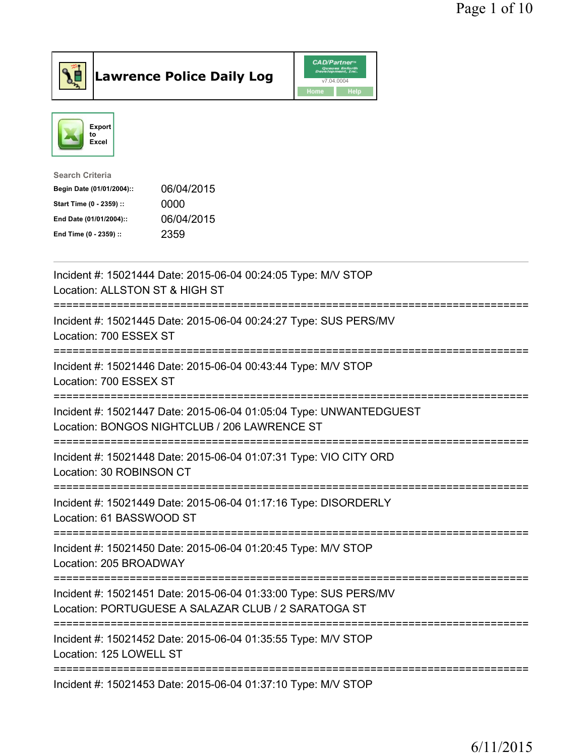



| 06/04/2015 |
|------------|
| 0000       |
| 06/04/2015 |
| 2359       |
|            |

| Incident #: 15021444 Date: 2015-06-04 00:24:05 Type: M/V STOP<br>Location: ALLSTON ST & HIGH ST                                                                 |
|-----------------------------------------------------------------------------------------------------------------------------------------------------------------|
| Incident #: 15021445 Date: 2015-06-04 00:24:27 Type: SUS PERS/MV<br>Location: 700 ESSEX ST                                                                      |
| Incident #: 15021446 Date: 2015-06-04 00:43:44 Type: M/V STOP<br>Location: 700 ESSEX ST                                                                         |
| Incident #: 15021447 Date: 2015-06-04 01:05:04 Type: UNWANTEDGUEST<br>Location: BONGOS NIGHTCLUB / 206 LAWRENCE ST                                              |
| Incident #: 15021448 Date: 2015-06-04 01:07:31 Type: VIO CITY ORD<br>Location: 30 ROBINSON CT<br>===================                                            |
| Incident #: 15021449 Date: 2015-06-04 01:17:16 Type: DISORDERLY<br>Location: 61 BASSWOOD ST                                                                     |
| Incident #: 15021450 Date: 2015-06-04 01:20:45 Type: M/V STOP<br>Location: 205 BROADWAY                                                                         |
| Incident #: 15021451 Date: 2015-06-04 01:33:00 Type: SUS PERS/MV<br>Location: PORTUGUESE A SALAZAR CLUB / 2 SARATOGA ST<br>------------------------------------ |
| Incident #: 15021452 Date: 2015-06-04 01:35:55 Type: M/V STOP<br>Location: 125 LOWELL ST                                                                        |
| Incident #: 15021453 Date: 2015-06-04 01:37:10 Type: M/V STOP                                                                                                   |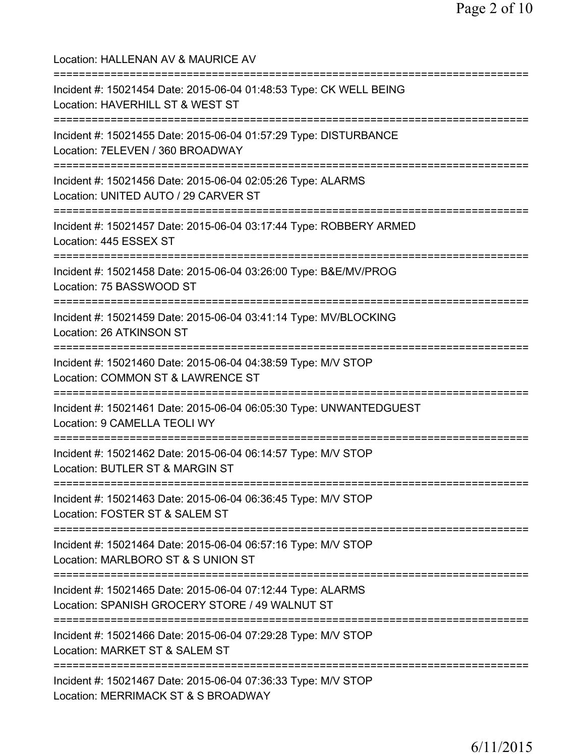| Location: HALLENAN AV & MAURICE AV                                                                                                      |
|-----------------------------------------------------------------------------------------------------------------------------------------|
| Incident #: 15021454 Date: 2015-06-04 01:48:53 Type: CK WELL BEING<br>Location: HAVERHILL ST & WEST ST<br>:============================ |
| Incident #: 15021455 Date: 2015-06-04 01:57:29 Type: DISTURBANCE<br>Location: 7ELEVEN / 360 BROADWAY                                    |
| Incident #: 15021456 Date: 2015-06-04 02:05:26 Type: ALARMS<br>Location: UNITED AUTO / 29 CARVER ST<br>:==========================      |
| Incident #: 15021457 Date: 2015-06-04 03:17:44 Type: ROBBERY ARMED<br>Location: 445 ESSEX ST                                            |
| Incident #: 15021458 Date: 2015-06-04 03:26:00 Type: B&E/MV/PROG<br>Location: 75 BASSWOOD ST                                            |
| Incident #: 15021459 Date: 2015-06-04 03:41:14 Type: MV/BLOCKING<br>Location: 26 ATKINSON ST                                            |
| Incident #: 15021460 Date: 2015-06-04 04:38:59 Type: M/V STOP<br>Location: COMMON ST & LAWRENCE ST                                      |
| Incident #: 15021461 Date: 2015-06-04 06:05:30 Type: UNWANTEDGUEST<br>Location: 9 CAMELLA TEOLI WY                                      |
| Incident #: 15021462 Date: 2015-06-04 06:14:57 Type: M/V STOP<br>Location: BUTLER ST & MARGIN ST                                        |
| Incident #: 15021463 Date: 2015-06-04 06:36:45 Type: M/V STOP<br>Location: FOSTER ST & SALEM ST                                         |
| Incident #: 15021464 Date: 2015-06-04 06:57:16 Type: M/V STOP<br>Location: MARLBORO ST & S UNION ST                                     |
| Incident #: 15021465 Date: 2015-06-04 07:12:44 Type: ALARMS<br>Location: SPANISH GROCERY STORE / 49 WALNUT ST                           |
| Incident #: 15021466 Date: 2015-06-04 07:29:28 Type: M/V STOP<br>Location: MARKET ST & SALEM ST                                         |
| Incident #: 15021467 Date: 2015-06-04 07:36:33 Type: M/V STOP<br>Location: MERRIMACK ST & S BROADWAY                                    |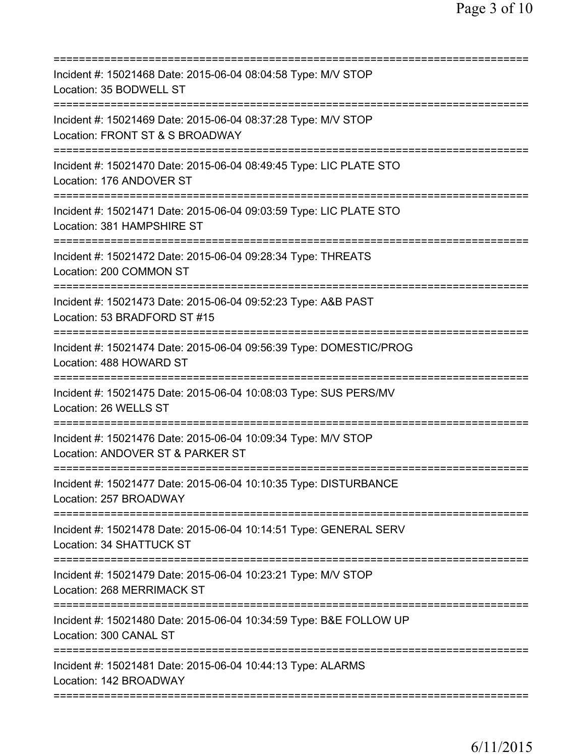| Incident #: 15021468 Date: 2015-06-04 08:04:58 Type: M/V STOP<br>Location: 35 BODWELL ST          |
|---------------------------------------------------------------------------------------------------|
| Incident #: 15021469 Date: 2015-06-04 08:37:28 Type: M/V STOP<br>Location: FRONT ST & S BROADWAY  |
| Incident #: 15021470 Date: 2015-06-04 08:49:45 Type: LIC PLATE STO<br>Location: 176 ANDOVER ST    |
| Incident #: 15021471 Date: 2015-06-04 09:03:59 Type: LIC PLATE STO<br>Location: 381 HAMPSHIRE ST  |
| Incident #: 15021472 Date: 2015-06-04 09:28:34 Type: THREATS<br>Location: 200 COMMON ST           |
| Incident #: 15021473 Date: 2015-06-04 09:52:23 Type: A&B PAST<br>Location: 53 BRADFORD ST #15     |
| Incident #: 15021474 Date: 2015-06-04 09:56:39 Type: DOMESTIC/PROG<br>Location: 488 HOWARD ST     |
| Incident #: 15021475 Date: 2015-06-04 10:08:03 Type: SUS PERS/MV<br>Location: 26 WELLS ST         |
| Incident #: 15021476 Date: 2015-06-04 10:09:34 Type: M/V STOP<br>Location: ANDOVER ST & PARKER ST |
| Incident #: 15021477 Date: 2015-06-04 10:10:35 Type: DISTURBANCE<br>Location: 257 BROADWAY        |
| Incident #: 15021478 Date: 2015-06-04 10:14:51 Type: GENERAL SERV<br>Location: 34 SHATTUCK ST     |
| Incident #: 15021479 Date: 2015-06-04 10:23:21 Type: M/V STOP<br>Location: 268 MERRIMACK ST       |
| Incident #: 15021480 Date: 2015-06-04 10:34:59 Type: B&E FOLLOW UP<br>Location: 300 CANAL ST      |
| Incident #: 15021481 Date: 2015-06-04 10:44:13 Type: ALARMS<br>Location: 142 BROADWAY             |
|                                                                                                   |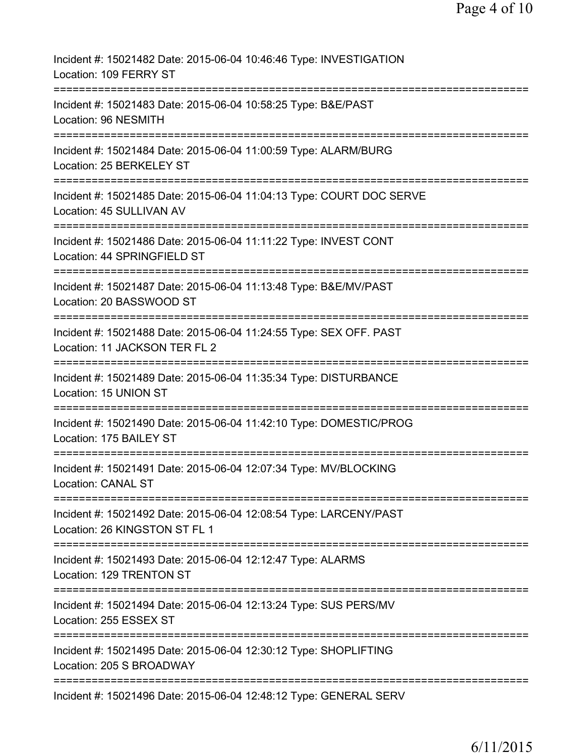| Incident #: 15021482 Date: 2015-06-04 10:46:46 Type: INVESTIGATION<br>Location: 109 FERRY ST                                          |
|---------------------------------------------------------------------------------------------------------------------------------------|
| Incident #: 15021483 Date: 2015-06-04 10:58:25 Type: B&E/PAST<br>Location: 96 NESMITH                                                 |
| Incident #: 15021484 Date: 2015-06-04 11:00:59 Type: ALARM/BURG<br>Location: 25 BERKELEY ST                                           |
| Incident #: 15021485 Date: 2015-06-04 11:04:13 Type: COURT DOC SERVE<br>Location: 45 SULLIVAN AV                                      |
| Incident #: 15021486 Date: 2015-06-04 11:11:22 Type: INVEST CONT<br>Location: 44 SPRINGFIELD ST                                       |
| Incident #: 15021487 Date: 2015-06-04 11:13:48 Type: B&E/MV/PAST<br>Location: 20 BASSWOOD ST                                          |
| Incident #: 15021488 Date: 2015-06-04 11:24:55 Type: SEX OFF. PAST<br>Location: 11 JACKSON TER FL 2                                   |
| Incident #: 15021489 Date: 2015-06-04 11:35:34 Type: DISTURBANCE<br>Location: 15 UNION ST                                             |
| ====================================<br>Incident #: 15021490 Date: 2015-06-04 11:42:10 Type: DOMESTIC/PROG<br>Location: 175 BAILEY ST |
| Incident #: 15021491 Date: 2015-06-04 12:07:34 Type: MV/BLOCKING<br><b>Location: CANAL ST</b>                                         |
| Incident #: 15021492 Date: 2015-06-04 12:08:54 Type: LARCENY/PAST<br>Location: 26 KINGSTON ST FL 1                                    |
| Incident #: 15021493 Date: 2015-06-04 12:12:47 Type: ALARMS<br>Location: 129 TRENTON ST                                               |
| Incident #: 15021494 Date: 2015-06-04 12:13:24 Type: SUS PERS/MV<br>Location: 255 ESSEX ST                                            |
| Incident #: 15021495 Date: 2015-06-04 12:30:12 Type: SHOPLIFTING<br>Location: 205 S BROADWAY                                          |
| Incident #: 15021496 Date: 2015-06-04 12:48:12 Type: GENERAL SERV                                                                     |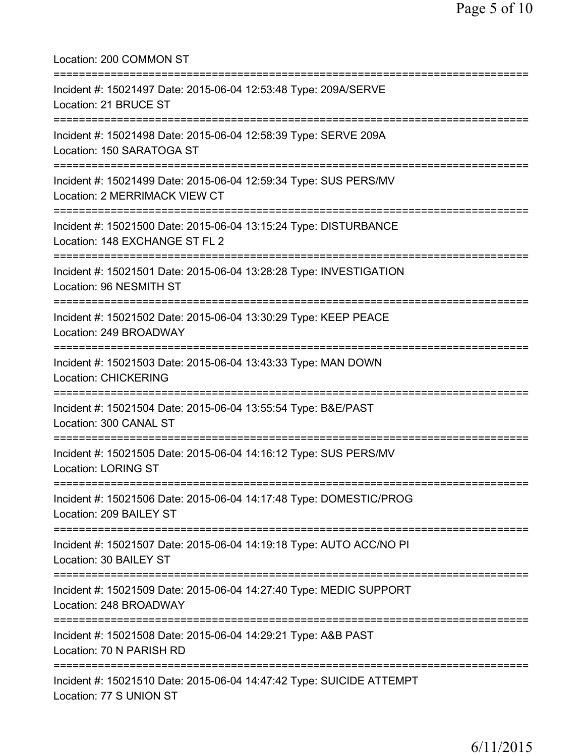| Location: 200 COMMON ST<br>====================                                                                                    |
|------------------------------------------------------------------------------------------------------------------------------------|
| Incident #: 15021497 Date: 2015-06-04 12:53:48 Type: 209A/SERVE<br>Location: 21 BRUCE ST                                           |
| Incident #: 15021498 Date: 2015-06-04 12:58:39 Type: SERVE 209A<br>Location: 150 SARATOGA ST                                       |
| Incident #: 15021499 Date: 2015-06-04 12:59:34 Type: SUS PERS/MV<br>Location: 2 MERRIMACK VIEW CT<br>=========================     |
| Incident #: 15021500 Date: 2015-06-04 13:15:24 Type: DISTURBANCE<br>Location: 148 EXCHANGE ST FL 2                                 |
| Incident #: 15021501 Date: 2015-06-04 13:28:28 Type: INVESTIGATION<br>Location: 96 NESMITH ST                                      |
| Incident #: 15021502 Date: 2015-06-04 13:30:29 Type: KEEP PEACE<br>Location: 249 BROADWAY                                          |
| Incident #: 15021503 Date: 2015-06-04 13:43:33 Type: MAN DOWN<br><b>Location: CHICKERING</b>                                       |
| Incident #: 15021504 Date: 2015-06-04 13:55:54 Type: B&E/PAST<br>Location: 300 CANAL ST                                            |
| Incident #: 15021505 Date: 2015-06-04 14:16:12 Type: SUS PERS/MV<br><b>Location: LORING ST</b>                                     |
| Incident #: 15021506 Date: 2015-06-04 14:17:48 Type: DOMESTIC/PROG<br>Location: 209 BAILEY ST                                      |
| Incident #: 15021507 Date: 2015-06-04 14:19:18 Type: AUTO ACC/NO PI<br>Location: 30 BAILEY ST                                      |
| ==================================<br>Incident #: 15021509 Date: 2015-06-04 14:27:40 Type: MEDIC SUPPORT<br>Location: 248 BROADWAY |
| Incident #: 15021508 Date: 2015-06-04 14:29:21 Type: A&B PAST<br>Location: 70 N PARISH RD                                          |
| Incident #: 15021510 Date: 2015-06-04 14:47:42 Type: SUICIDE ATTEMPT<br>Location: 77 S UNION ST                                    |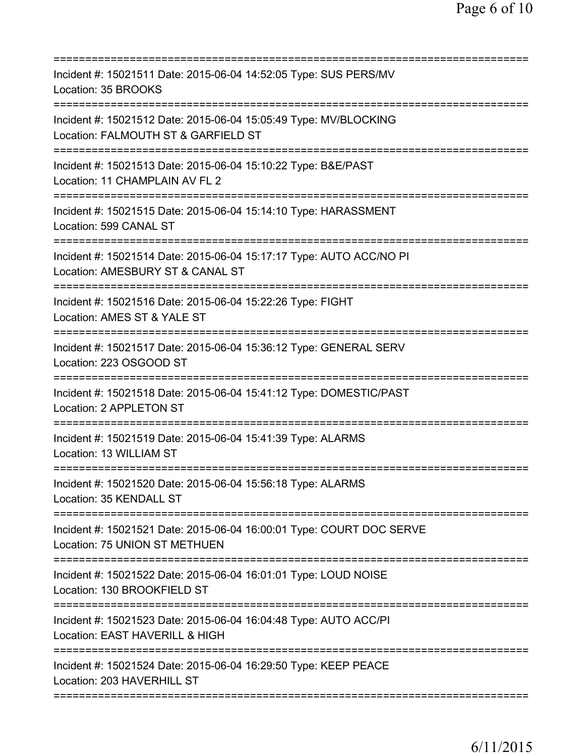| Incident #: 15021511 Date: 2015-06-04 14:52:05 Type: SUS PERS/MV<br>Location: 35 BROOKS                                                 |
|-----------------------------------------------------------------------------------------------------------------------------------------|
| Incident #: 15021512 Date: 2015-06-04 15:05:49 Type: MV/BLOCKING<br>Location: FALMOUTH ST & GARFIELD ST                                 |
| Incident #: 15021513 Date: 2015-06-04 15:10:22 Type: B&E/PAST<br>Location: 11 CHAMPLAIN AV FL 2<br>========================             |
| Incident #: 15021515 Date: 2015-06-04 15:14:10 Type: HARASSMENT<br>Location: 599 CANAL ST                                               |
| Incident #: 15021514 Date: 2015-06-04 15:17:17 Type: AUTO ACC/NO PI<br>Location: AMESBURY ST & CANAL ST<br>============================ |
| Incident #: 15021516 Date: 2015-06-04 15:22:26 Type: FIGHT<br>Location: AMES ST & YALE ST                                               |
| Incident #: 15021517 Date: 2015-06-04 15:36:12 Type: GENERAL SERV<br>Location: 223 OSGOOD ST                                            |
| Incident #: 15021518 Date: 2015-06-04 15:41:12 Type: DOMESTIC/PAST<br>Location: 2 APPLETON ST                                           |
| Incident #: 15021519 Date: 2015-06-04 15:41:39 Type: ALARMS<br>Location: 13 WILLIAM ST                                                  |
| Incident #: 15021520 Date: 2015-06-04 15:56:18 Type: ALARMS<br>Location: 35 KENDALL ST                                                  |
| Incident #: 15021521 Date: 2015-06-04 16:00:01 Type: COURT DOC SERVE<br>Location: 75 UNION ST METHUEN                                   |
| Incident #: 15021522 Date: 2015-06-04 16:01:01 Type: LOUD NOISE<br>Location: 130 BROOKFIELD ST                                          |
| Incident #: 15021523 Date: 2015-06-04 16:04:48 Type: AUTO ACC/PI<br>Location: EAST HAVERILL & HIGH                                      |
| Incident #: 15021524 Date: 2015-06-04 16:29:50 Type: KEEP PEACE<br>Location: 203 HAVERHILL ST                                           |
|                                                                                                                                         |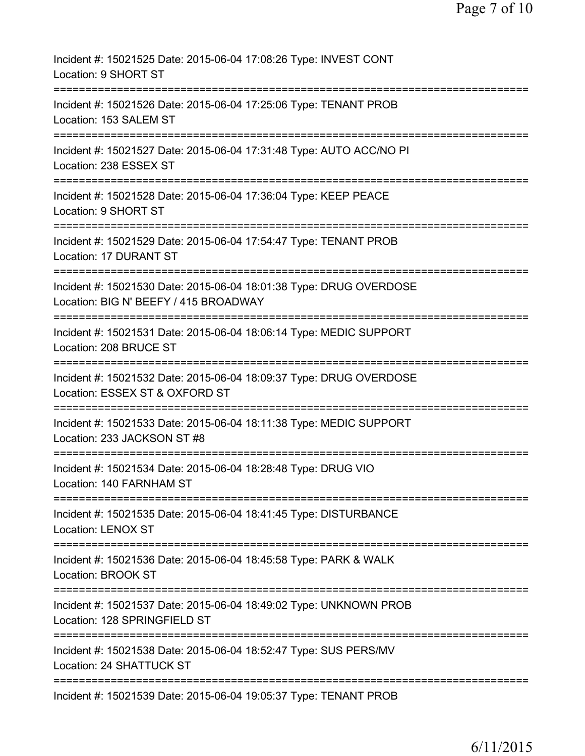| Incident #: 15021525 Date: 2015-06-04 17:08:26 Type: INVEST CONT<br>Location: 9 SHORT ST                                           |
|------------------------------------------------------------------------------------------------------------------------------------|
| Incident #: 15021526 Date: 2015-06-04 17:25:06 Type: TENANT PROB<br>Location: 153 SALEM ST                                         |
| Incident #: 15021527 Date: 2015-06-04 17:31:48 Type: AUTO ACC/NO PI<br>Location: 238 ESSEX ST                                      |
| Incident #: 15021528 Date: 2015-06-04 17:36:04 Type: KEEP PEACE<br>Location: 9 SHORT ST                                            |
| -------------<br>Incident #: 15021529 Date: 2015-06-04 17:54:47 Type: TENANT PROB<br>Location: 17 DURANT ST                        |
| ===================<br>Incident #: 15021530 Date: 2015-06-04 18:01:38 Type: DRUG OVERDOSE<br>Location: BIG N' BEEFY / 415 BROADWAY |
| Incident #: 15021531 Date: 2015-06-04 18:06:14 Type: MEDIC SUPPORT<br>Location: 208 BRUCE ST                                       |
| Incident #: 15021532 Date: 2015-06-04 18:09:37 Type: DRUG OVERDOSE<br>Location: ESSEX ST & OXFORD ST                               |
| Incident #: 15021533 Date: 2015-06-04 18:11:38 Type: MEDIC SUPPORT<br>Location: 233 JACKSON ST #8                                  |
| Incident #: 15021534 Date: 2015-06-04 18:28:48 Type: DRUG VIO<br>Location: 140 FARNHAM ST                                          |
| Incident #: 15021535 Date: 2015-06-04 18:41:45 Type: DISTURBANCE<br><b>Location: LENOX ST</b>                                      |
| ==============================<br>Incident #: 15021536 Date: 2015-06-04 18:45:58 Type: PARK & WALK<br>Location: BROOK ST           |
| Incident #: 15021537 Date: 2015-06-04 18:49:02 Type: UNKNOWN PROB<br>Location: 128 SPRINGFIELD ST                                  |
| Incident #: 15021538 Date: 2015-06-04 18:52:47 Type: SUS PERS/MV<br>Location: 24 SHATTUCK ST                                       |
| Incident #: 15021539 Date: 2015-06-04 19:05:37 Type: TENANT PROB                                                                   |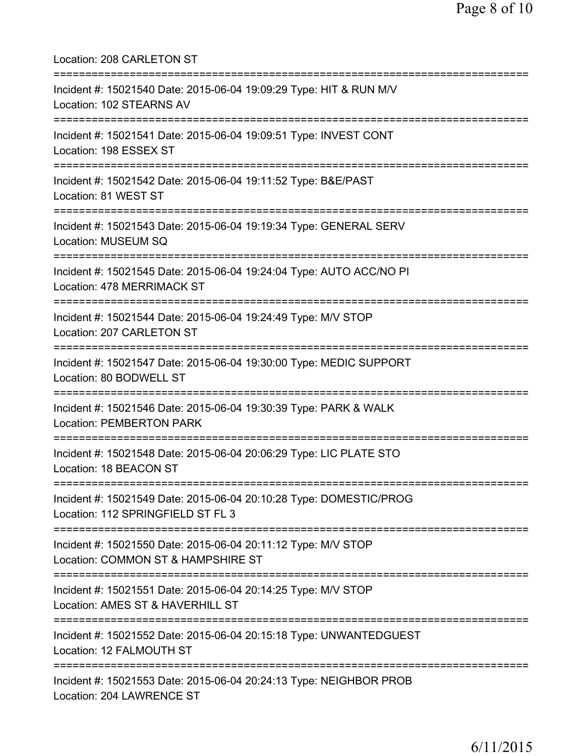Location: 208 CARLETON ST =========================================================================== Incident #: 15021540 Date: 2015-06-04 19:09:29 Type: HIT & RUN M/V Location: 102 STEARNS AV =========================================================================== Incident #: 15021541 Date: 2015-06-04 19:09:51 Type: INVEST CONT Location: 198 ESSEX ST =========================================================================== Incident #: 15021542 Date: 2015-06-04 19:11:52 Type: B&E/PAST Location: 81 WEST ST =========================================================================== Incident #: 15021543 Date: 2015-06-04 19:19:34 Type: GENERAL SERV Location: MUSEUM SQ =========================================================================== Incident #: 15021545 Date: 2015-06-04 19:24:04 Type: AUTO ACC/NO PI Location: 478 MERRIMACK ST =========================================================================== Incident #: 15021544 Date: 2015-06-04 19:24:49 Type: M/V STOP Location: 207 CARLETON ST =========================================================================== Incident #: 15021547 Date: 2015-06-04 19:30:00 Type: MEDIC SUPPORT Location: 80 BODWELL ST =========================================================================== Incident #: 15021546 Date: 2015-06-04 19:30:39 Type: PARK & WALK Location: PEMBERTON PARK =========================================================================== Incident #: 15021548 Date: 2015-06-04 20:06:29 Type: LIC PLATE STO Location: 18 BEACON ST =========================================================================== Incident #: 15021549 Date: 2015-06-04 20:10:28 Type: DOMESTIC/PROG Location: 112 SPRINGFIELD ST FL 3 =========================================================================== Incident #: 15021550 Date: 2015-06-04 20:11:12 Type: M/V STOP Location: COMMON ST & HAMPSHIRE ST =========================================================================== Incident #: 15021551 Date: 2015-06-04 20:14:25 Type: M/V STOP Location: AMES ST & HAVERHILL ST =========================================================================== Incident #: 15021552 Date: 2015-06-04 20:15:18 Type: UNWANTEDGUEST Location: 12 FALMOUTH ST =========================================================================== Incident #: 15021553 Date: 2015-06-04 20:24:13 Type: NEIGHBOR PROB Location: 204 LAWRENCE ST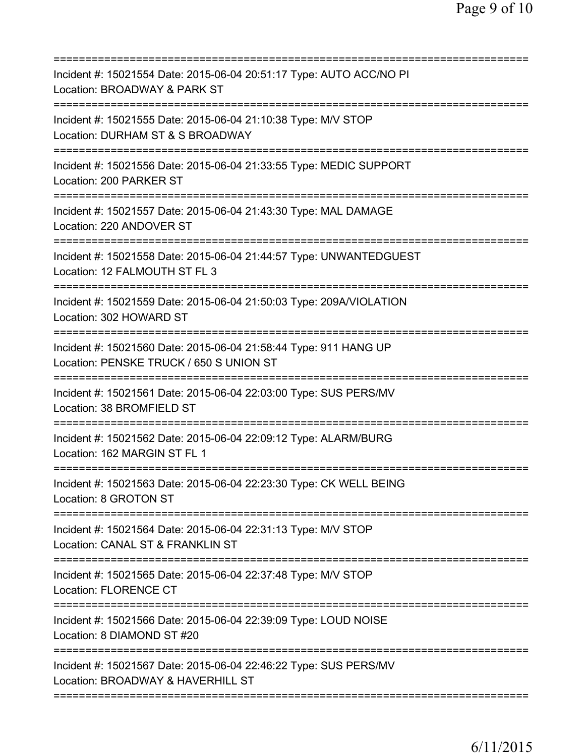| Incident #: 15021554 Date: 2015-06-04 20:51:17 Type: AUTO ACC/NO PI<br>Location: BROADWAY & PARK ST<br>======================                        |
|------------------------------------------------------------------------------------------------------------------------------------------------------|
| Incident #: 15021555 Date: 2015-06-04 21:10:38 Type: M/V STOP<br>Location: DURHAM ST & S BROADWAY                                                    |
| Incident #: 15021556 Date: 2015-06-04 21:33:55 Type: MEDIC SUPPORT<br>Location: 200 PARKER ST                                                        |
| Incident #: 15021557 Date: 2015-06-04 21:43:30 Type: MAL DAMAGE<br>Location: 220 ANDOVER ST                                                          |
| Incident #: 15021558 Date: 2015-06-04 21:44:57 Type: UNWANTEDGUEST<br>Location: 12 FALMOUTH ST FL 3                                                  |
| ======================<br>Incident #: 15021559 Date: 2015-06-04 21:50:03 Type: 209A/VIOLATION<br>Location: 302 HOWARD ST                             |
| Incident #: 15021560 Date: 2015-06-04 21:58:44 Type: 911 HANG UP<br>Location: PENSKE TRUCK / 650 S UNION ST<br>===================================== |
| Incident #: 15021561 Date: 2015-06-04 22:03:00 Type: SUS PERS/MV<br>Location: 38 BROMFIELD ST<br>--------------                                      |
| Incident #: 15021562 Date: 2015-06-04 22:09:12 Type: ALARM/BURG<br>Location: 162 MARGIN ST FL 1                                                      |
| Incident #: 15021563 Date: 2015-06-04 22:23:30 Type: CK WELL BEING<br>Location: 8 GROTON ST                                                          |
| Incident #: 15021564 Date: 2015-06-04 22:31:13 Type: M/V STOP<br>Location: CANAL ST & FRANKLIN ST                                                    |
| Incident #: 15021565 Date: 2015-06-04 22:37:48 Type: M/V STOP<br>Location: FLORENCE CT                                                               |
| Incident #: 15021566 Date: 2015-06-04 22:39:09 Type: LOUD NOISE<br>Location: 8 DIAMOND ST #20                                                        |
| Incident #: 15021567 Date: 2015-06-04 22:46:22 Type: SUS PERS/MV<br>Location: BROADWAY & HAVERHILL ST                                                |
|                                                                                                                                                      |